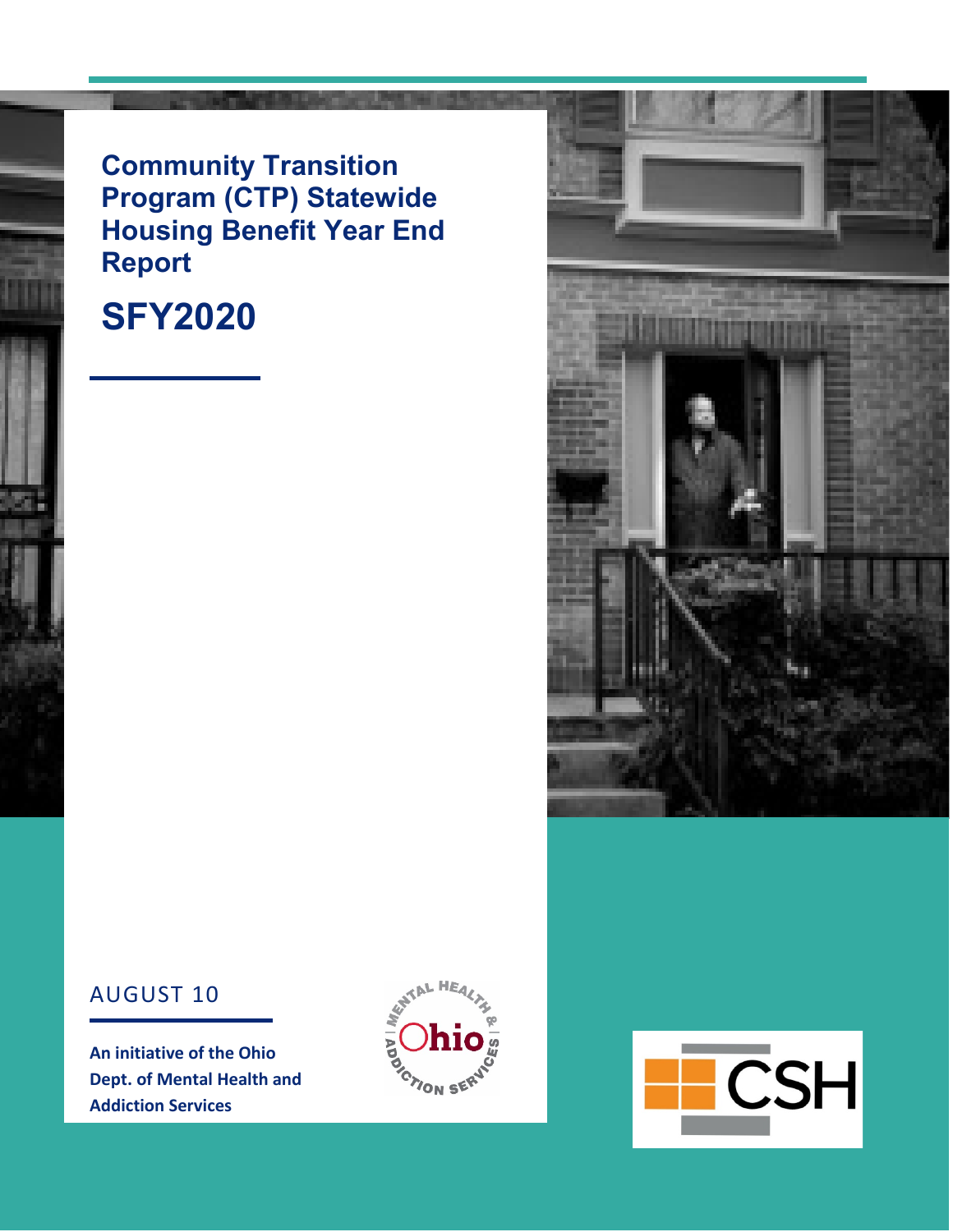#### **Community Transition Program (CTP) Statewide Housing Benefit Year End Report**

## **SFY2020**



**An initiative of the Ohio Dept. of Mental Health and Addiction Services**





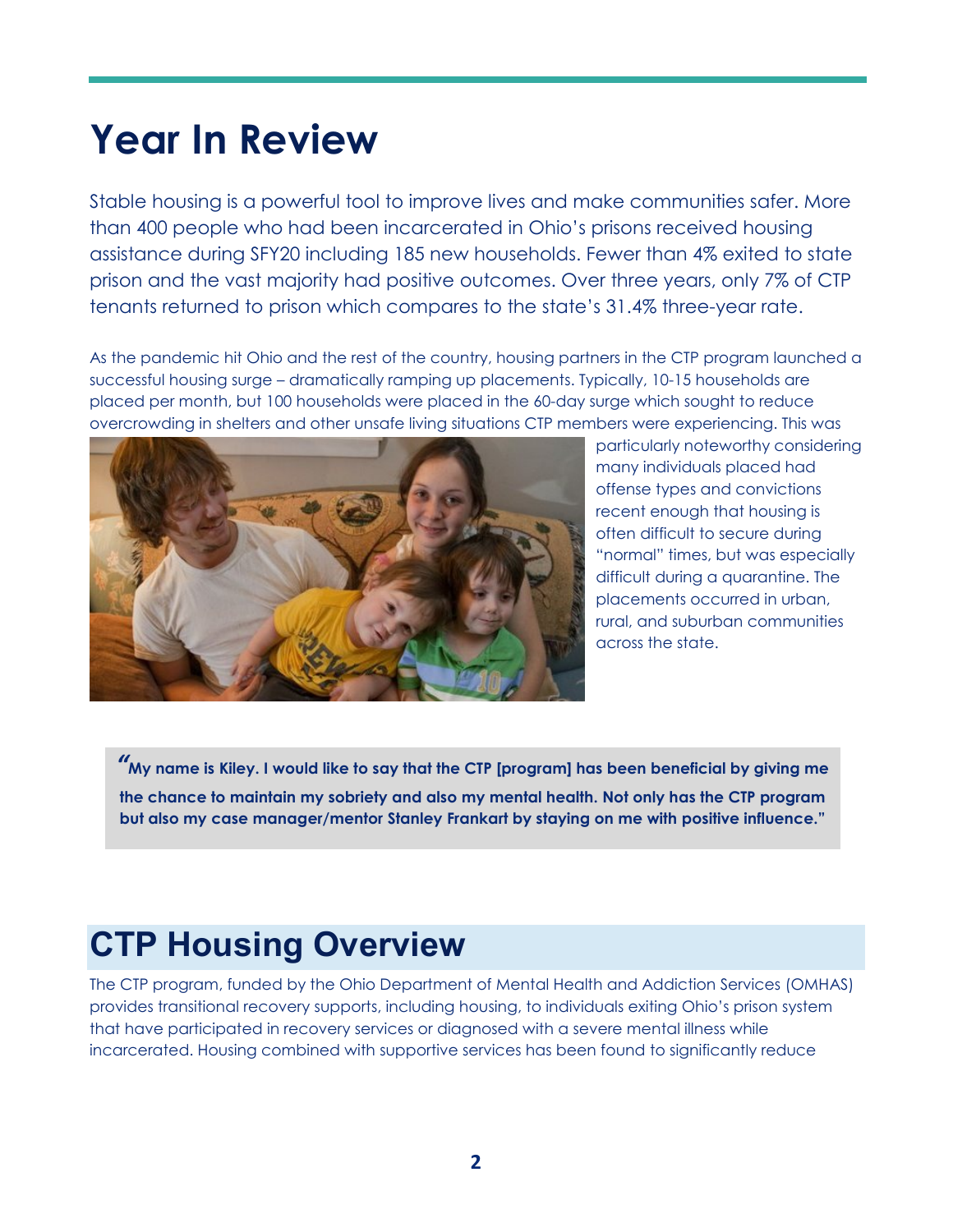# **Year In Review**

Stable housing is a powerful tool to improve lives and make communities safer. More than 400 people who had been incarcerated in Ohio's prisons received housing assistance during SFY20 including 185 new households. Fewer than 4% exited to state prison and the vast majority had positive outcomes. Over three years, only 7% of CTP tenants returned to prison which compares to the state's 31.4% three-year rate.

As the pandemic hit Ohio and the rest of the country, housing partners in the CTP program launched a successful housing surge – dramatically ramping up placements. Typically, 10-15 households are placed per month, but 100 households were placed in the 60-day surge which sought to reduce overcrowding in shelters and other unsafe living situations CTP members were experiencing. This was



particularly noteworthy considering many individuals placed had offense types and convictions recent enough that housing is often difficult to secure during "normal" times, but was especially difficult during a quarantine. The placements occurred in urban, rural, and suburban communities across the state.

*"***My name is Kiley. I would like to say that the CTP [program] has been beneficial by giving me the chance to maintain my sobriety and also my mental health. Not only has the CTP program but also my case manager/mentor Stanley Frankart by staying on me with positive influence."**

### **CTP Housing Overview**

The CTP program, funded by the Ohio Department of Mental Health and Addiction Services (OMHAS) provides transitional recovery supports, including housing, to individuals exiting Ohio's prison system that have participated in recovery services or diagnosed with a severe mental illness while incarcerated. Housing combined with supportive services has been found to significantly reduce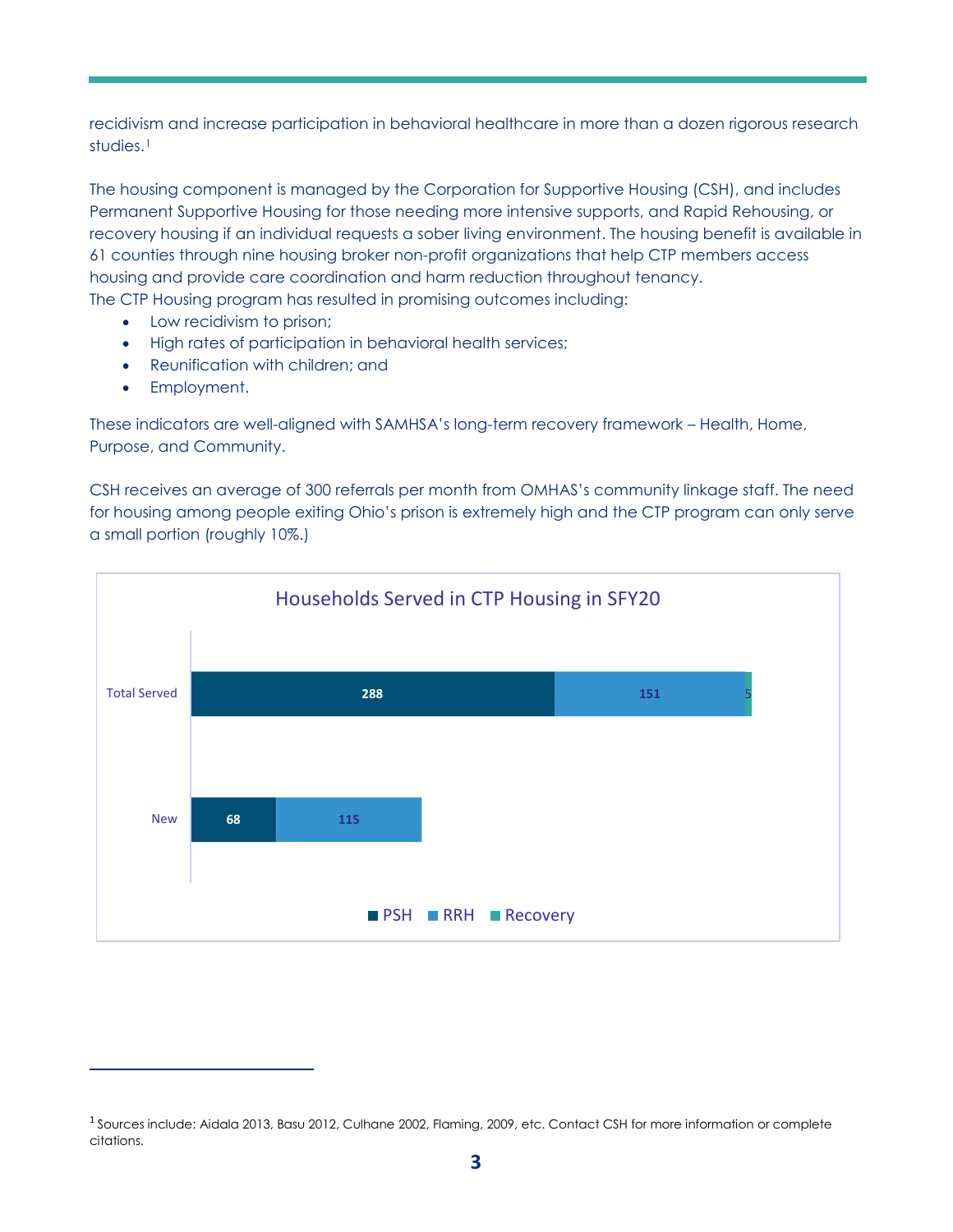recidivism and increase participation in behavioral healthcare in more than a dozen rigorous research studies.[1](#page-2-0)

The housing component is managed by the Corporation for Supportive Housing (CSH), and includes Permanent Supportive Housing for those needing more intensive supports, and Rapid Rehousing, or recovery housing if an individual requests a sober living environment. The housing benefit is available in 61 counties through nine housing broker non-profit organizations that help CTP members access housing and provide care coordination and harm reduction throughout tenancy. The CTP Housing program has resulted in promising outcomes including:

- Low recidivism to prison;
- High rates of participation in behavioral health services;
- Reunification with children; and
- Employment.

These indicators are well-aligned with SAMHSA's long-term recovery framework – Health, Home, Purpose, and Community.

CSH receives an average of 300 referrals per month from OMHAS's community linkage staff. The need for housing among people exiting Ohio's prison is extremely high and the CTP program can only serve a small portion (roughly 10%.)



<span id="page-2-0"></span><sup>1</sup> Sources include: Aidala 2013, Basu 2012, Culhane 2002, Flaming, 2009, etc. Contact CSH for more information or complete citations.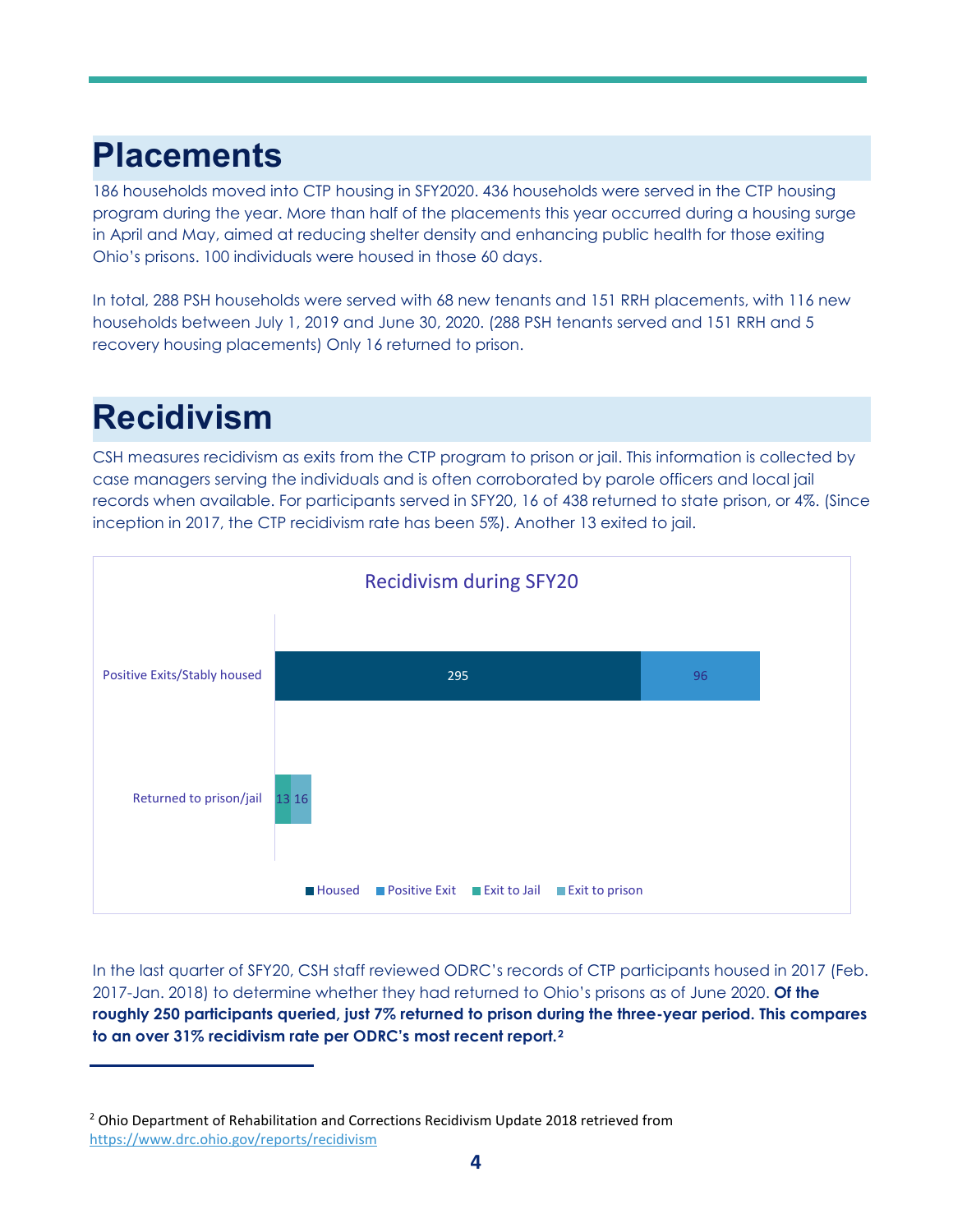### **Placements**

186 households moved into CTP housing in SFY2020. 436 households were served in the CTP housing program during the year. More than half of the placements this year occurred during a housing surge in April and May, aimed at reducing shelter density and enhancing public health for those exiting Ohio's prisons. 100 individuals were housed in those 60 days.

In total, 288 PSH households were served with 68 new tenants and 151 RRH placements, with 116 new households between July 1, 2019 and June 30, 2020. (288 PSH tenants served and 151 RRH and 5 recovery housing placements) Only 16 returned to prison.

## **Recidivism**

CSH measures recidivism as exits from the CTP program to prison or jail. This information is collected by case managers serving the individuals and is often corroborated by parole officers and local jail records when available. For participants served in SFY20, 16 of 438 returned to state prison, or 4%. (Since inception in 2017, the CTP recidivism rate has been 5%). Another 13 exited to jail.



In the last quarter of SFY20, CSH staff reviewed ODRC's records of CTP participants housed in 2017 (Feb. 2017-Jan. 2018) to determine whether they had returned to Ohio's prisons as of June 2020. **Of the roughly 250 participants queried, just 7% returned to prison during the three-year period. This compares to an over 31% recidivism rate per ODRC's most recent report.[2](#page-3-0)**

<span id="page-3-0"></span><sup>&</sup>lt;sup>2</sup> Ohio Department of Rehabilitation and Corrections Recidivism Update 2018 retrieved from <https://www.drc.ohio.gov/reports/recidivism>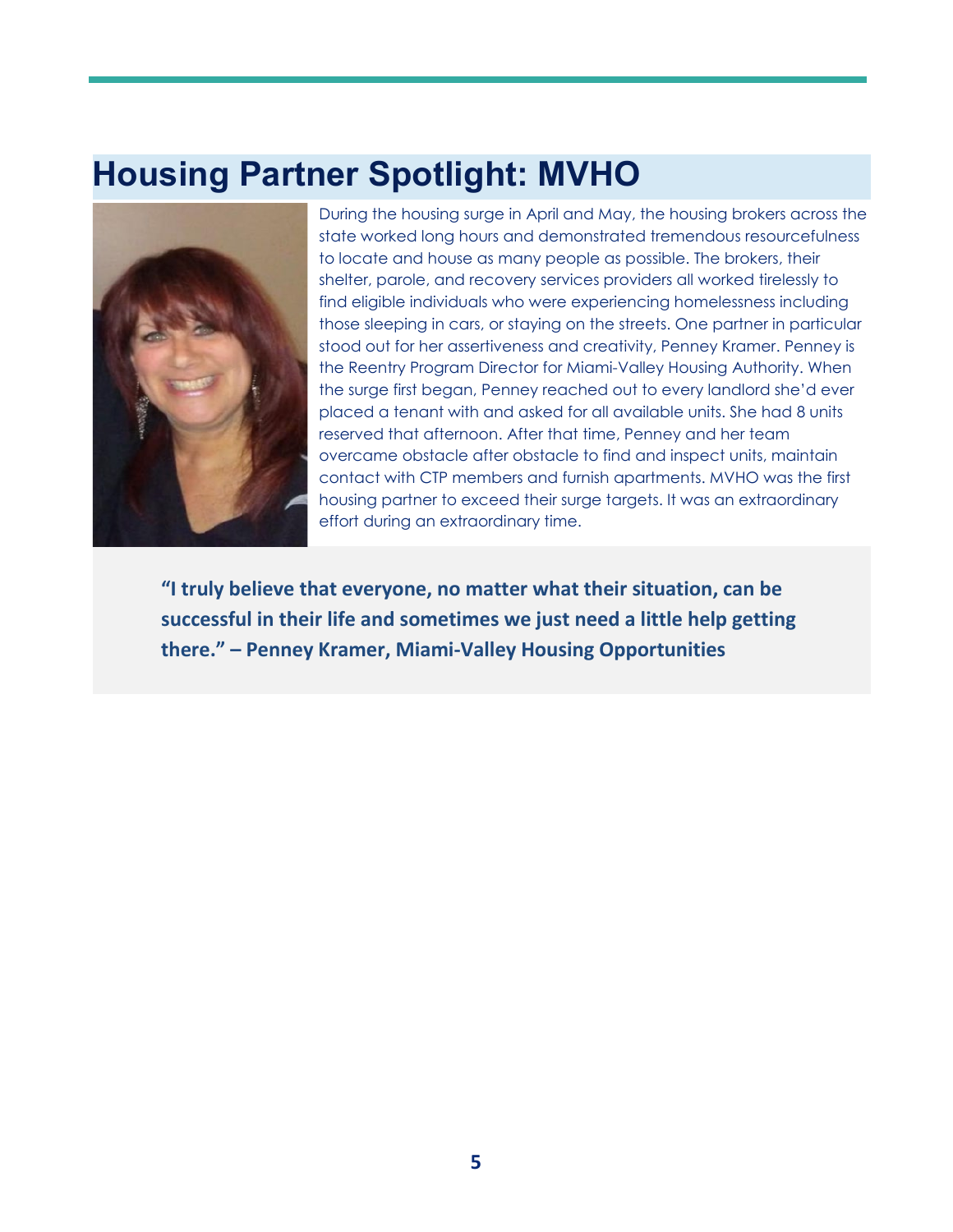### **Housing Partner Spotlight: MVHO**



During the housing surge in April and May, the housing brokers across the state worked long hours and demonstrated tremendous resourcefulness to locate and house as many people as possible. The brokers, their shelter, parole, and recovery services providers all worked tirelessly to find eligible individuals who were experiencing homelessness including those sleeping in cars, or staying on the streets. One partner in particular stood out for her assertiveness and creativity, Penney Kramer. Penney is the Reentry Program Director for Miami-Valley Housing Authority. When the surge first began, Penney reached out to every landlord she'd ever placed a tenant with and asked for all available units. She had 8 units reserved that afternoon. After that time, Penney and her team overcame obstacle after obstacle to find and inspect units, maintain contact with CTP members and furnish apartments. MVHO was the first housing partner to exceed their surge targets. It was an extraordinary effort during an extraordinary time.

**"I truly believe that everyone, no matter what their situation, can be successful in their life and sometimes we just need a little help getting there." – Penney Kramer, Miami-Valley Housing Opportunities**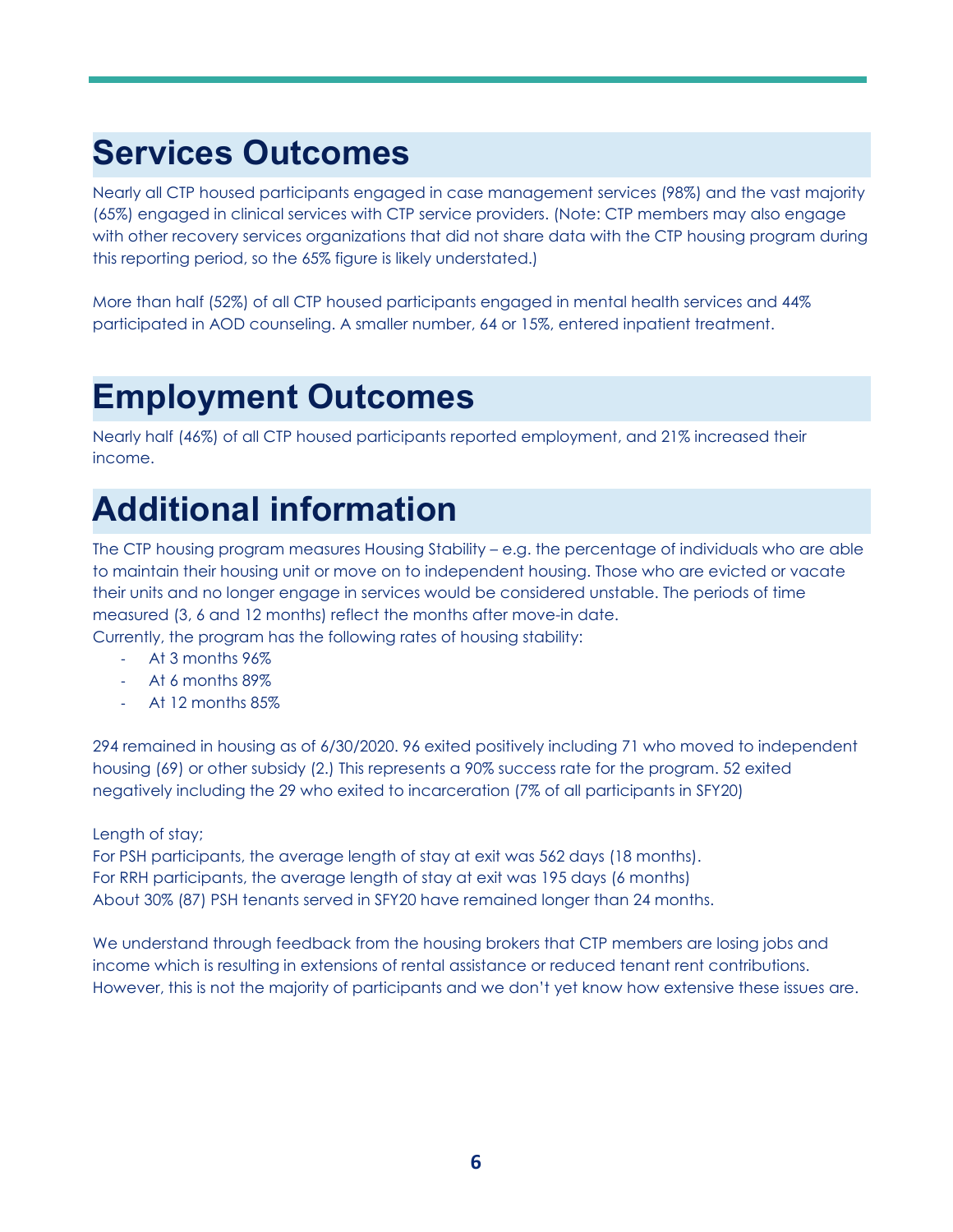## **Services Outcomes**

Nearly all CTP housed participants engaged in case management services (98%) and the vast majority (65%) engaged in clinical services with CTP service providers. (Note: CTP members may also engage with other recovery services organizations that did not share data with the CTP housing program during this reporting period, so the 65% figure is likely understated.)

More than half (52%) of all CTP housed participants engaged in mental health services and 44% participated in AOD counseling. A smaller number, 64 or 15%, entered inpatient treatment.

### **Employment Outcomes**

Nearly half (46%) of all CTP housed participants reported employment, and 21% increased their income.

## **Additional information**

The CTP housing program measures Housing Stability – e.g. the percentage of individuals who are able to maintain their housing unit or move on to independent housing. Those who are evicted or vacate their units and no longer engage in services would be considered unstable. The periods of time measured (3, 6 and 12 months) reflect the months after move-in date.

Currently, the program has the following rates of housing stability:

- At 3 months 96%
- At 6 months 89%
- At 12 months 85%

294 remained in housing as of 6/30/2020. 96 exited positively including 71 who moved to independent housing (69) or other subsidy (2.) This represents a 90% success rate for the program. 52 exited negatively including the 29 who exited to incarceration (7% of all participants in SFY20)

#### Length of stay;

For PSH participants, the average length of stay at exit was 562 days (18 months). For RRH participants, the average length of stay at exit was 195 days (6 months) About 30% (87) PSH tenants served in SFY20 have remained longer than 24 months.

We understand through feedback from the housing brokers that CTP members are losing jobs and income which is resulting in extensions of rental assistance or reduced tenant rent contributions. However, this is not the majority of participants and we don't yet know how extensive these issues are.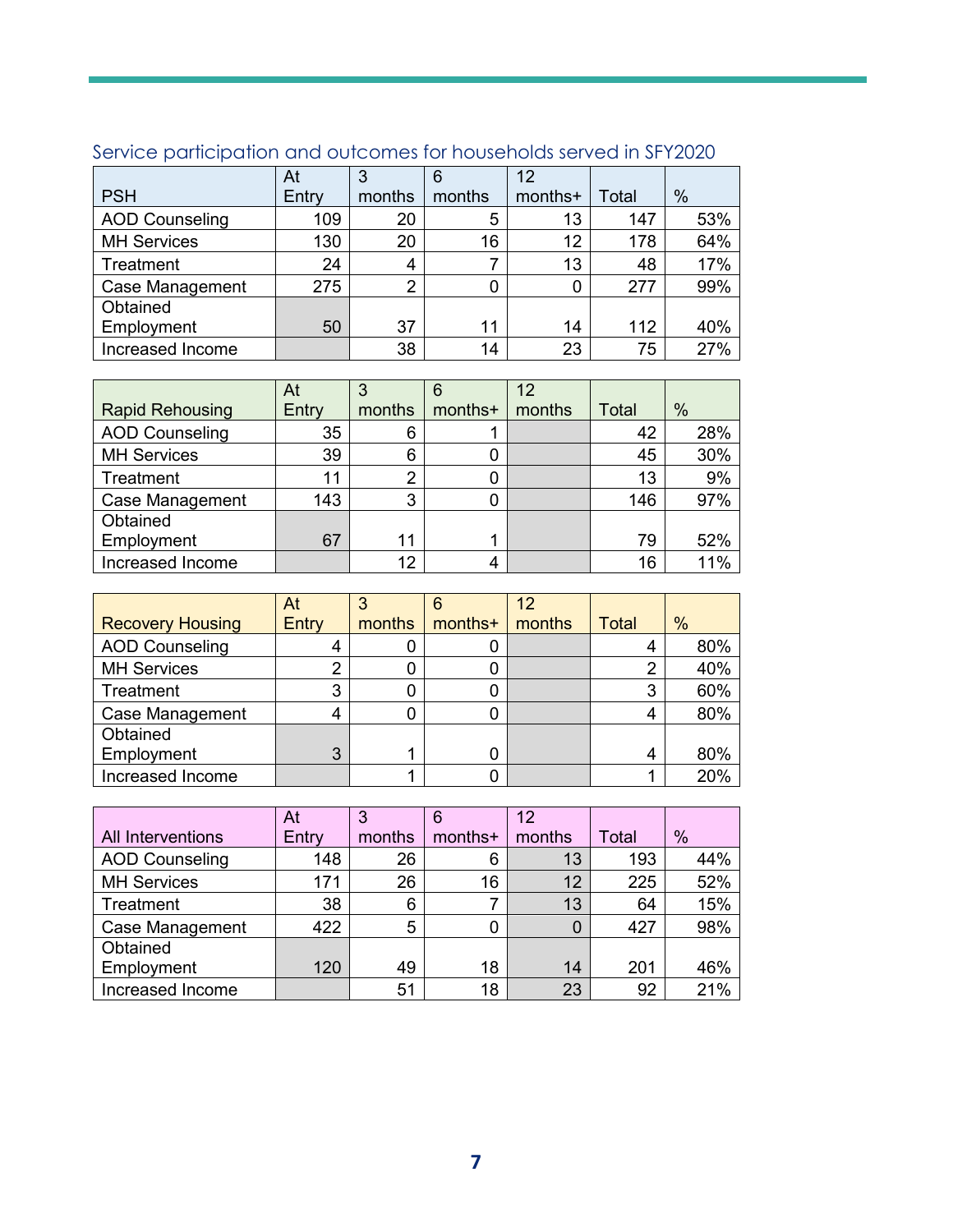|                        | At    |        | 6      | 12      |       |      |
|------------------------|-------|--------|--------|---------|-------|------|
| <b>PSH</b>             | Entry | months | months | months+ | Total | $\%$ |
| <b>AOD Counseling</b>  | 109   | 20     | 5      | 13      | 147   | 53%  |
| <b>MH Services</b>     | 130   | 20     | 16     | 12      | 178   | 64%  |
| Treatment              | 24    | 4      |        | 13      | 48    | 17%  |
| <b>Case Management</b> | 275   | ◠      | 0      | 0       | 277   | 99%  |
| Obtained               |       |        |        |         |       |      |
| Employment             | 50    | 37     | 11     | 14      | 112   | 40%  |
| Increased Income       |       | 38     | 14     | 23      | 75    | 27%  |

#### Service participation and outcomes for households served in SFY2020

|                        | At    |        | 6       | 12     |              |               |
|------------------------|-------|--------|---------|--------|--------------|---------------|
| <b>Rapid Rehousing</b> | Entry | months | months+ | months | <b>Total</b> | $\frac{0}{0}$ |
| <b>AOD Counseling</b>  | 35    | 6      |         |        | 42           | 28%           |
| <b>MH Services</b>     | 39    | 6      |         |        | 45           | 30%           |
| Treatment              | 11    | 2      |         |        | 13           | 9%            |
| <b>Case Management</b> | 143   | 3      |         |        | 146          | 97%           |
| Obtained               |       |        |         |        |              |               |
| Employment             | 67    | 11     |         |        | 79           | 52%           |
| Increased Income       |       | 12     | 4       |        | 16           | 11%           |

|                         | At    |        | 6       | 12     |       |      |
|-------------------------|-------|--------|---------|--------|-------|------|
| <b>Recovery Housing</b> | Entry | months | months+ | months | Total | $\%$ |
| <b>AOD Counseling</b>   |       |        |         |        |       | 80%  |
| <b>MH Services</b>      | 2     |        | 0       |        | ∩     | 40%  |
| Treatment               | 3     |        | 0       |        | 3     | 60%  |
| <b>Case Management</b>  | 4     |        |         |        |       | 80%  |
| Obtained                |       |        |         |        |       |      |
| Employment              | 3     |        |         |        | 4     | 80%  |
| Increased Income        |       |        |         |        |       | 20%  |

|                          | At    |        | 6       | 12       |       |     |
|--------------------------|-------|--------|---------|----------|-------|-----|
| <b>All Interventions</b> | Entry | months | months+ | months   | Total | %   |
| <b>AOD Counseling</b>    | 148   | 26     | 6       | 13       | 193   | 44% |
| <b>MH Services</b>       | 171   | 26     | 16      | 12       | 225   | 52% |
| Treatment                | 38    | 6      |         | 13       | 64    | 15% |
| <b>Case Management</b>   | 422   | 5      | 0       | $\Omega$ | 427   | 98% |
| Obtained                 |       |        |         |          |       |     |
| Employment               | 120   | 49     | 18      | 14       | 201   | 46% |
| Increased Income         |       | 51     | 18      | 23       | 92    | 21% |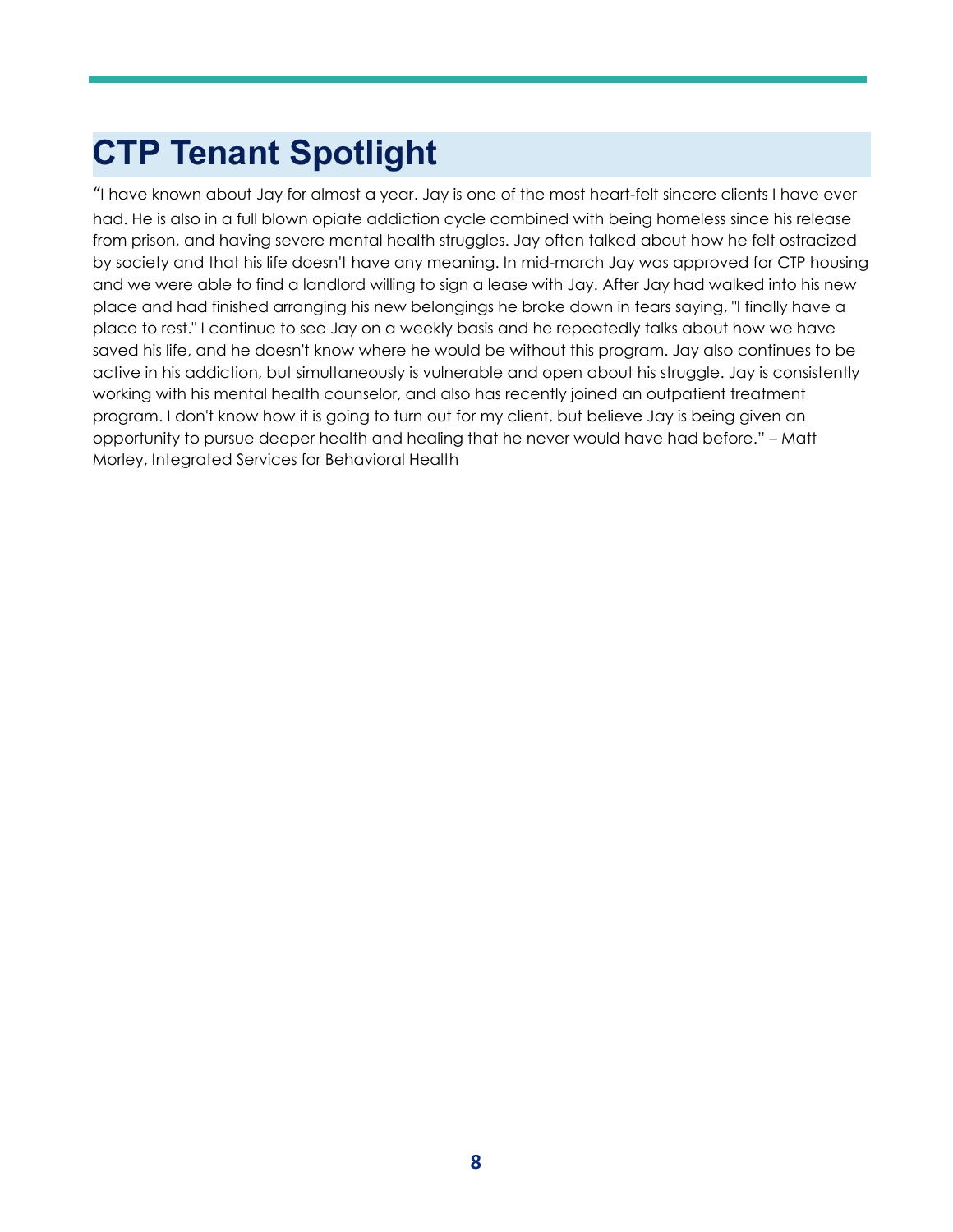# **CTP Tenant Spotlight**

"I have known about Jay for almost a year. Jay is one of the most heart-felt sincere clients I have ever had. He is also in a full blown opiate addiction cycle combined with being homeless since his release from prison, and having severe mental health struggles. Jay often talked about how he felt ostracized by society and that his life doesn't have any meaning. In mid-march Jay was approved for CTP housing and we were able to find a landlord willing to sign a lease with Jay. After Jay had walked into his new place and had finished arranging his new belongings he broke down in tears saying, "I finally have a place to rest." I continue to see Jay on a weekly basis and he repeatedly talks about how we have saved his life, and he doesn't know where he would be without this program. Jay also continues to be active in his addiction, but simultaneously is vulnerable and open about his struggle. Jay is consistently working with his mental health counselor, and also has recently joined an outpatient treatment program. I don't know how it is going to turn out for my client, but believe Jay is being given an opportunity to pursue deeper health and healing that he never would have had before." – Matt Morley, Integrated Services for Behavioral Health